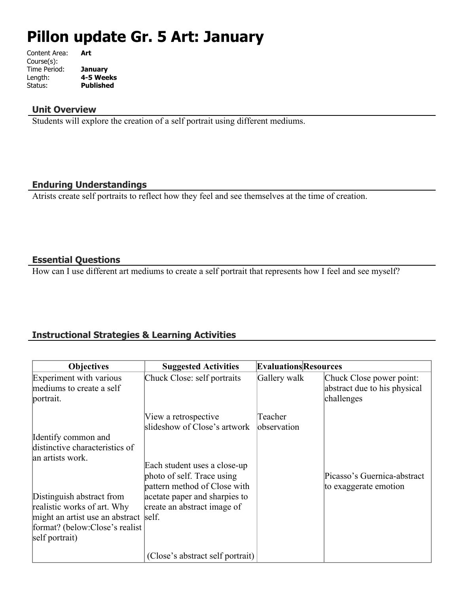# **Pillon update Gr. 5 Art: January**

| Content Area: | Art              |
|---------------|------------------|
| Course(s):    |                  |
| Time Period:  | <b>January</b>   |
| Length:       | 4-5 Weeks        |
| Status:       | <b>Published</b> |
|               |                  |

#### **Unit Overview**

Students will explore the creation of a self portrait using different mediums.

#### **Enduring Understandings**

Atrists create self portraits to reflect how they feel and see themselves at the time of creation.

## **Essential Questions**

How can I use different art mediums to create a self portrait that represents how I feel and see myself?

## **Instructional Strategies & Learning Activities**

| <b>Objectives</b>                                                                                                                                     | <b>Suggested Activities</b>                                                                | <b>Evaluations Resources</b> |                                                                        |
|-------------------------------------------------------------------------------------------------------------------------------------------------------|--------------------------------------------------------------------------------------------|------------------------------|------------------------------------------------------------------------|
| Experiment with various<br>mediums to create a self<br>portrait.                                                                                      | Chuck Close: self portraits                                                                | Gallery walk                 | Chuck Close power point:<br>abstract due to his physical<br>challenges |
| Identify common and                                                                                                                                   | View a retrospective<br>slideshow of Close's artwork                                       | Teacher<br>lobservation      |                                                                        |
| distinctive characteristics of<br>an artists work.                                                                                                    |                                                                                            |                              |                                                                        |
|                                                                                                                                                       | Each student uses a close-up<br>photo of self. Trace using<br>pattern method of Close with |                              | Picasso's Guernica-abstract<br>to exaggerate emotion                   |
| Distinguish abstract from<br>realistic works of art. Why<br>might an artist use an abstract self.<br>format? (below:Close's realist<br>self portrait) | acetate paper and sharpies to<br>create an abstract image of                               |                              |                                                                        |
|                                                                                                                                                       | (Close's abstract self portrait)                                                           |                              |                                                                        |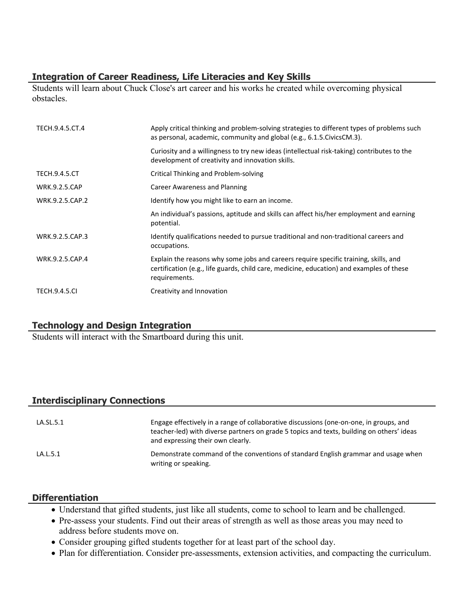## **Integration of Career Readiness, Life Literacies and Key Skills**

Students will learn about Chuck Close's art career and his works he created while overcoming physical obstacles.

| TECH.9.4.5.CT.4      | Apply critical thinking and problem-solving strategies to different types of problems such<br>as personal, academic, community and global (e.g., 6.1.5. Civics CM.3).                             |
|----------------------|---------------------------------------------------------------------------------------------------------------------------------------------------------------------------------------------------|
|                      | Curiosity and a willingness to try new ideas (intellectual risk-taking) contributes to the<br>development of creativity and innovation skills.                                                    |
| <b>TECH.9.4.5.CT</b> | Critical Thinking and Problem-solving                                                                                                                                                             |
| <b>WRK.9.2.5.CAP</b> | Career Awareness and Planning                                                                                                                                                                     |
| WRK.9.2.5.CAP.2      | Identify how you might like to earn an income.                                                                                                                                                    |
|                      | An individual's passions, aptitude and skills can affect his/her employment and earning<br>potential.                                                                                             |
| WRK.9.2.5.CAP.3      | Identify qualifications needed to pursue traditional and non-traditional careers and<br>occupations.                                                                                              |
| WRK.9.2.5.CAP.4      | Explain the reasons why some jobs and careers require specific training, skills, and<br>certification (e.g., life guards, child care, medicine, education) and examples of these<br>requirements. |
| <b>TECH.9.4.5.CI</b> | Creativity and Innovation                                                                                                                                                                         |

## **Technology and Design Integration**

Students will interact with the Smartboard during this unit.

## **Interdisciplinary Connections**

| LA.SL.5.1 | Engage effectively in a range of collaborative discussions (one-on-one, in groups, and<br>teacher-led) with diverse partners on grade 5 topics and texts, building on others' ideas<br>and expressing their own clearly. |
|-----------|--------------------------------------------------------------------------------------------------------------------------------------------------------------------------------------------------------------------------|
| LA.L.5.1  | Demonstrate command of the conventions of standard English grammar and usage when<br>writing or speaking.                                                                                                                |

#### **Differentiation**

- Understand that gifted students, just like all students, come to school to learn and be challenged.
- Pre-assess your students. Find out their areas of strength as well as those areas you may need to address before students move on.
- Consider grouping gifted students together for at least part of the school day.
- Plan for differentiation. Consider pre-assessments, extension activities, and compacting the curriculum.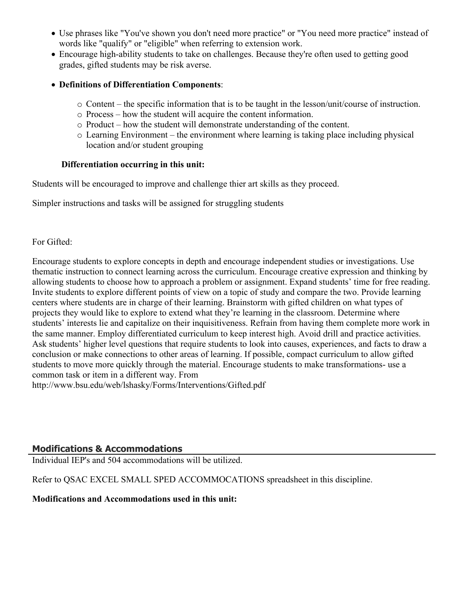- Use phrases like "You've shown you don't need more practice" or "You need more practice" instead of words like "qualify" or "eligible" when referring to extension work.
- Encourage high-ability students to take on challenges. Because they're often used to getting good grades, gifted students may be risk averse.
- **Definitions of Differentiation Components**:
	- o Content the specific information that is to be taught in the lesson/unit/course of instruction.
	- o Process how the student will acquire the content information.
	- o Product how the student will demonstrate understanding of the content.
	- o Learning Environment the environment where learning is taking place including physical location and/or student grouping

#### **Differentiation occurring in this unit:**

Students will be encouraged to improve and challenge thier art skills as they proceed.

Simpler instructions and tasks will be assigned for struggling students

#### For Gifted:

Encourage students to explore concepts in depth and encourage independent studies or investigations. Use thematic instruction to connect learning across the curriculum. Encourage creative expression and thinking by allowing students to choose how to approach a problem or assignment. Expand students' time for free reading. Invite students to explore different points of view on a topic of study and compare the two. Provide learning centers where students are in charge of their learning. Brainstorm with gifted children on what types of projects they would like to explore to extend what they're learning in the classroom. Determine where students' interests lie and capitalize on their inquisitiveness. Refrain from having them complete more work in the same manner. Employ differentiated curriculum to keep interest high. Avoid drill and practice activities. Ask students' higher level questions that require students to look into causes, experiences, and facts to draw a conclusion or make connections to other areas of learning. If possible, compact curriculum to allow gifted students to move more quickly through the material. Encourage students to make transformations- use a common task or item in a different way. From http://www.bsu.edu/web/lshasky/Forms/Interventions/Gifted.pdf

## **Modifications & Accommodations**

Individual IEP's and 504 accommodations will be utilized.

Refer to QSAC EXCEL SMALL SPED ACCOMMOCATIONS spreadsheet in this discipline.

#### **Modifications and Accommodations used in this unit:**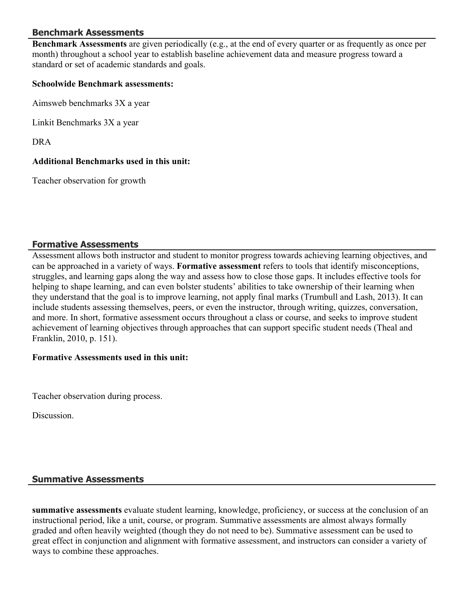## **Benchmark Assessments**

**Benchmark Assessments** are given periodically (e.g., at the end of every quarter or as frequently as once per month) throughout a school year to establish baseline achievement data and measure progress toward a standard or set of academic standards and goals.

#### **Schoolwide Benchmark assessments:**

Aimsweb benchmarks 3X a year

Linkit Benchmarks 3X a year

DRA

#### **Additional Benchmarks used in this unit:**

Teacher observation for growth

#### **Formative Assessments**

Assessment allows both instructor and student to monitor progress towards achieving learning objectives, and can be approached in a variety of ways. **Formative assessment** refers to tools that identify misconceptions, struggles, and learning gaps along the way and assess how to close those gaps. It includes effective tools for helping to shape learning, and can even bolster students' abilities to take ownership of their learning when they understand that the goal is to improve learning, not apply final marks (Trumbull and Lash, 2013). It can include students assessing themselves, peers, or even the instructor, through writing, quizzes, conversation, and more. In short, formative assessment occurs throughout a class or course, and seeks to improve student achievement of learning objectives through approaches that can support specific student needs (Theal and Franklin, 2010, p. 151).

#### **Formative Assessments used in this unit:**

Teacher observation during process.

**Discussion** 

## **Summative Assessments**

**summative assessments** evaluate student learning, knowledge, proficiency, or success at the conclusion of an instructional period, like a unit, course, or program. Summative assessments are almost always formally graded and often heavily weighted (though they do not need to be). Summative assessment can be used to great effect in conjunction and alignment with formative assessment, and instructors can consider a variety of ways to combine these approaches.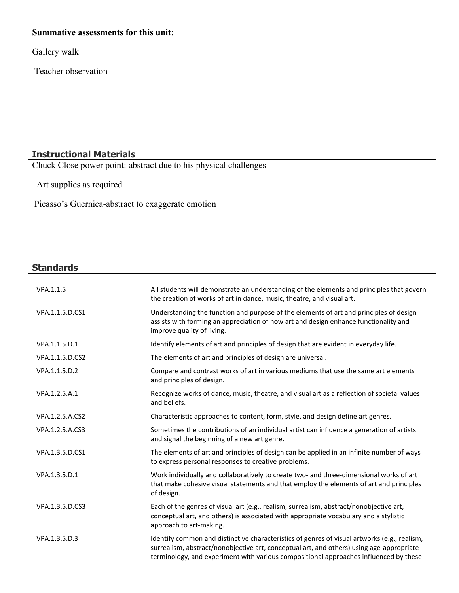## **Summative assessments for this unit:**

Gallery walk

Teacher observation

## **Instructional Materials**

Chuck Close power point: abstract due to his physical challenges

Art supplies as required

Picasso's Guernica-abstract to exaggerate emotion

#### **Standards**

| VPA.1.1.5       | All students will demonstrate an understanding of the elements and principles that govern<br>the creation of works of art in dance, music, theatre, and visual art.                                                                                                               |
|-----------------|-----------------------------------------------------------------------------------------------------------------------------------------------------------------------------------------------------------------------------------------------------------------------------------|
| VPA.1.1.5.D.CS1 | Understanding the function and purpose of the elements of art and principles of design<br>assists with forming an appreciation of how art and design enhance functionality and<br>improve quality of living.                                                                      |
| VPA.1.1.5.D.1   | Identify elements of art and principles of design that are evident in everyday life.                                                                                                                                                                                              |
| VPA.1.1.5.D.CS2 | The elements of art and principles of design are universal.                                                                                                                                                                                                                       |
| VPA.1.1.5.D.2   | Compare and contrast works of art in various mediums that use the same art elements<br>and principles of design.                                                                                                                                                                  |
| VPA.1.2.5.A.1   | Recognize works of dance, music, theatre, and visual art as a reflection of societal values<br>and beliefs.                                                                                                                                                                       |
| VPA.1.2.5.A.CS2 | Characteristic approaches to content, form, style, and design define art genres.                                                                                                                                                                                                  |
| VPA.1.2.5.A.CS3 | Sometimes the contributions of an individual artist can influence a generation of artists<br>and signal the beginning of a new art genre.                                                                                                                                         |
| VPA.1.3.5.D.CS1 | The elements of art and principles of design can be applied in an infinite number of ways<br>to express personal responses to creative problems.                                                                                                                                  |
| VPA.1.3.5.D.1   | Work individually and collaboratively to create two- and three-dimensional works of art<br>that make cohesive visual statements and that employ the elements of art and principles<br>of design.                                                                                  |
| VPA.1.3.5.D.CS3 | Each of the genres of visual art (e.g., realism, surrealism, abstract/nonobjective art,<br>conceptual art, and others) is associated with appropriate vocabulary and a stylistic<br>approach to art-making.                                                                       |
| VPA.1.3.5.D.3   | Identify common and distinctive characteristics of genres of visual artworks (e.g., realism,<br>surrealism, abstract/nonobjective art, conceptual art, and others) using age-appropriate<br>terminology, and experiment with various compositional approaches influenced by these |